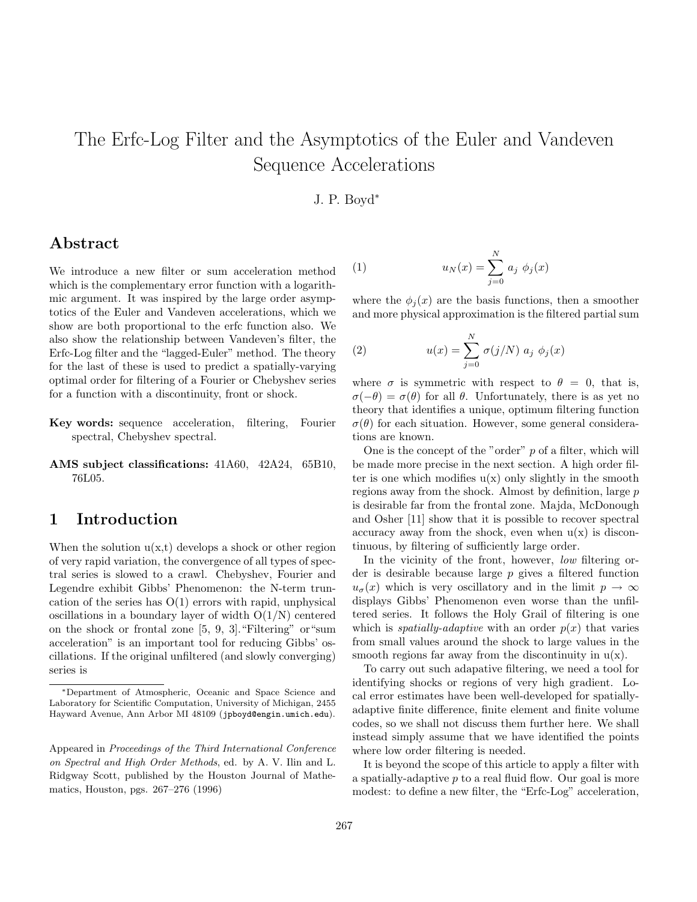# The Erfc-Log Filter and the Asymptotics of the Euler and Vandeven Sequence Accelerations

#### J. P. Boyd<sup>∗</sup>

### **Abstract**

We introduce a new filter or sum acceleration method which is the complementary error function with a logarithmic argument. It was inspired by the large order asymptotics of the Euler and Vandeven accelerations, which we show are both proportional to the erfc function also. We also show the relationship between Vandeven's filter, the Erfc-Log filter and the "lagged-Euler" method. The theory for the last of these is used to predict a spatially-varying optimal order for filtering of a Fourier or Chebyshev series for a function with a discontinuity, front or shock.

- **Key words:** sequence acceleration, filtering, Fourier spectral, Chebyshev spectral.
- **AMS subject classifications:** 41A60, 42A24, 65B10, 76L05.

### **1 Introduction**

When the solution  $u(x,t)$  develops a shock or other region of very rapid variation, the convergence of all types of spectral series is slowed to a crawl. Chebyshev, Fourier and Legendre exhibit Gibbs' Phenomenon: the N-term truncation of the series has  $O(1)$  errors with rapid, unphysical oscillations in a boundary layer of width  $O(1/N)$  centered on the shock or frontal zone [5, 9, 3]."Filtering" or"sum acceleration" is an important tool for reducing Gibbs' oscillations. If the original unfiltered (and slowly converging) series is

(1) 
$$
u_N(x) = \sum_{j=0}^{N} a_j \phi_j(x)
$$

where the  $\phi_i(x)$  are the basis functions, then a smoother and more physical approximation is the filtered partial sum

(2) 
$$
u(x) = \sum_{j=0}^{N} \sigma(j/N) \ a_j \ \phi_j(x)
$$

where  $\sigma$  is symmetric with respect to  $\theta = 0$ , that is,  $\sigma(-\theta) = \sigma(\theta)$  for all  $\theta$ . Unfortunately, there is as yet no theory that identifies a unique, optimum filtering function  $\sigma(\theta)$  for each situation. However, some general considerations are known.

One is the concept of the "order" *p* of a filter, which will be made more precise in the next section. A high order filter is one which modifies  $u(x)$  only slightly in the smooth regions away from the shock. Almost by definition, large *p* is desirable far from the frontal zone. Majda, McDonough and Osher [11] show that it is possible to recover spectral accuracy away from the shock, even when  $u(x)$  is discontinuous, by filtering of sufficiently large order.

In the vicinity of the front, however, *low* filtering order is desirable because large *p* gives a filtered function  $u_{\sigma}(x)$  which is very oscillatory and in the limit  $p \to \infty$ displays Gibbs' Phenomenon even worse than the unfiltered series. It follows the Holy Grail of filtering is one which is *spatially-adaptive* with an order  $p(x)$  that varies from small values around the shock to large values in the smooth regions far away from the discontinuity in  $u(x)$ .

To carry out such adapative filtering, we need a tool for identifying shocks or regions of very high gradient. Local error estimates have been well-developed for spatiallyadaptive finite difference, finite element and finite volume codes, so we shall not discuss them further here. We shall instead simply assume that we have identified the points where low order filtering is needed.

It is beyond the scope of this article to apply a filter with a spatially-adaptive *p* to a real fluid flow. Our goal is more modest: to define a new filter, the "Erfc-Log" acceleration,

<sup>∗</sup>Department of Atmospheric, Oceanic and Space Science and Laboratory for Scientific Computation, University of Michigan, 2455 Hayward Avenue, Ann Arbor MI 48109 (jpboyd@engin.umich.edu).

Appeared in *Proceedings of the Third International Conference on Spectral and High Order Methods*, ed. by A. V. Ilin and L. Ridgway Scott, published by the Houston Journal of Mathematics, Houston, pgs. 267–276 (1996)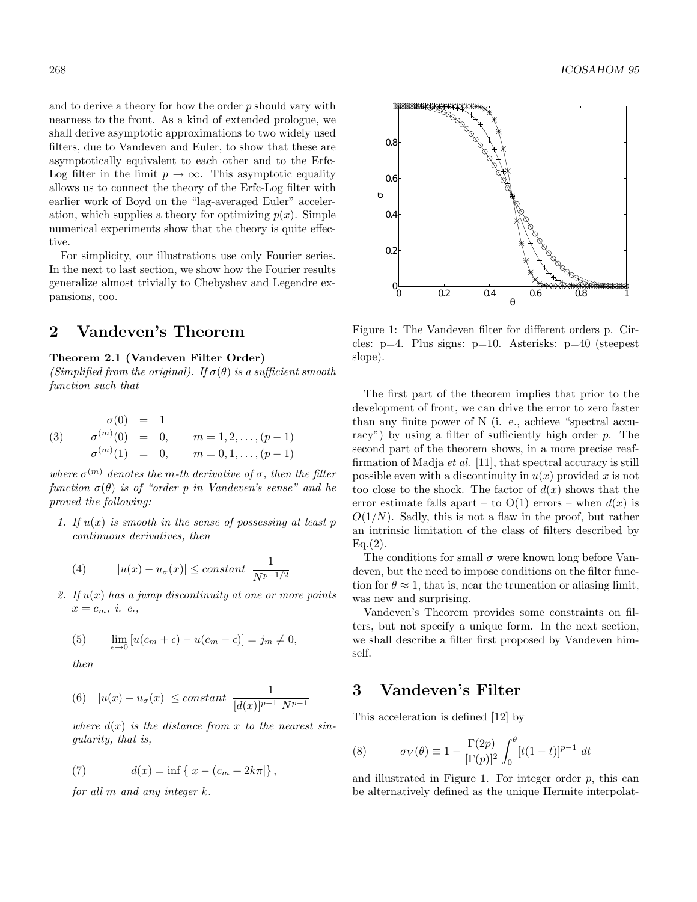and to derive a theory for how the order *p* should vary with nearness to the front. As a kind of extended prologue, we shall derive asymptotic approximations to two widely used filters, due to Vandeven and Euler, to show that these are asymptotically equivalent to each other and to the Erfc-Log filter in the limit  $p \to \infty$ . This asymptotic equality allows us to connect the theory of the Erfc-Log filter with earlier work of Boyd on the "lag-averaged Euler" acceleration, which supplies a theory for optimizing  $p(x)$ . Simple numerical experiments show that the theory is quite effective.

For simplicity, our illustrations use only Fourier series. In the next to last section, we show how the Fourier results generalize almost trivially to Chebyshev and Legendre expansions, too.

## **2 Vandeven's Theorem**

#### **Theorem 2.1 (Vandeven Filter Order)**

(Simplified from the original). If  $\sigma(\theta)$  is a sufficient smooth function such that

(3) 
$$
\sigma(0) = 1
$$
  
\n $\sigma^{(m)}(0) = 0, \qquad m = 1, 2, ..., (p-1)$   
\n $\sigma^{(m)}(1) = 0, \qquad m = 0, 1, ..., (p-1)$ 

where  $\sigma^{(m)}$  denotes the *m*-th derivative of  $\sigma$ , then the filter function  $\sigma(\theta)$  is of "order p in Vandeven's sense" and he proved the following:

1. If *u*(*x*) is smooth in the sense of possessing at least *p* continuous derivatives, then

(4) 
$$
|u(x) - u_{\sigma}(x)| \leq constant \frac{1}{N^{p-1/2}}
$$

2. If  $u(x)$  has a jump discontinuity at one or more points  $x = c_m, i. e.,$ 

(5) 
$$
\lim_{\epsilon \to 0} [u(c_m + \epsilon) - u(c_m - \epsilon)] = j_m \neq 0,
$$

then

(6) 
$$
|u(x) - u_{\sigma}(x)| \leq constant \frac{1}{[d(x)]^{p-1} N^{p-1}}
$$

where  $d(x)$  is the distance from x to the nearest singularity, that is,

(7) 
$$
d(x) = \inf \{ |x - (c_m + 2k\pi) \},
$$

for all *m* and any integer *k*.



Figure 1: The Vandeven filter for different orders p. Circles:  $p=4$ . Plus signs:  $p=10$ . Asterisks:  $p=40$  (steepest) slope).

The first part of the theorem implies that prior to the development of front, we can drive the error to zero faster than any finite power of N (i. e., achieve "spectral accuracy") by using a filter of sufficiently high order *p*. The second part of the theorem shows, in a more precise reaffirmation of Madja *et al.* [11], that spectral accuracy is still possible even with a discontinuity in  $u(x)$  provided x is not too close to the shock. The factor of  $d(x)$  shows that the error estimate falls apart – to  $O(1)$  errors – when  $d(x)$  is *O*(1*/N*). Sadly, this is not a flaw in the proof, but rather an intrinsic limitation of the class of filters described by  $Eq.(2)$ .

The conditions for small  $\sigma$  were known long before Vandeven, but the need to impose conditions on the filter function for  $\theta \approx 1$ , that is, near the truncation or aliasing limit, was new and surprising.

Vandeven's Theorem provides some constraints on filters, but not specify a unique form. In the next section, we shall describe a filter first proposed by Vandeven himself.

## **3 Vandeven's Filter**

This acceleration is defined [12] by

(8) 
$$
\sigma_V(\theta) \equiv 1 - \frac{\Gamma(2p)}{[\Gamma(p)]^2} \int_0^{\theta} [t(1-t)]^{p-1} dt
$$

and illustrated in Figure 1. For integer order *p*, this can be alternatively defined as the unique Hermite interpolat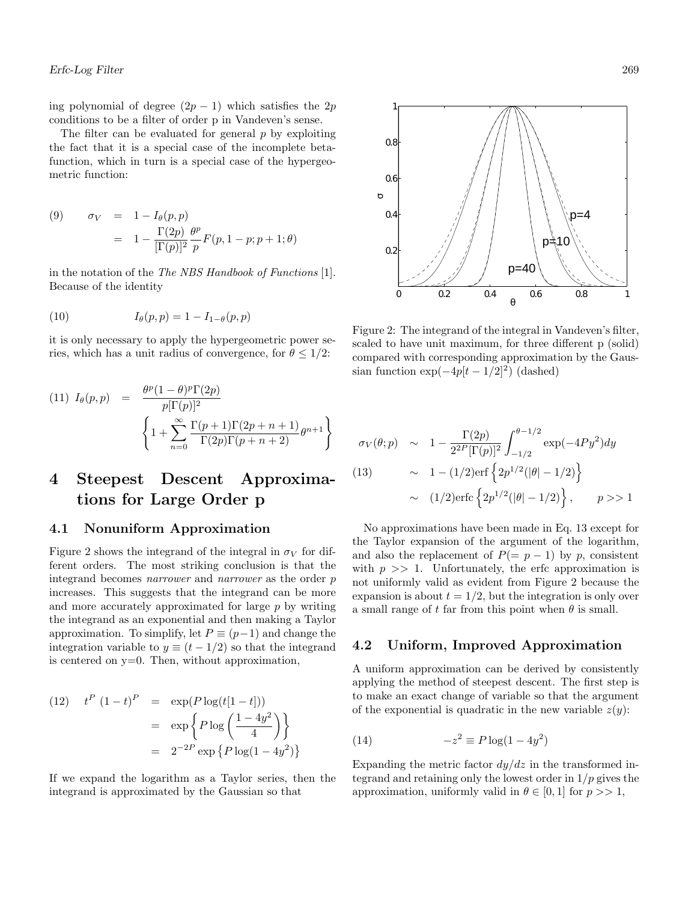ing polynomial of degree  $(2p - 1)$  which satisfies the 2*p* conditions to be a filter of order p in Vandeven's sense.

The filter can be evaluated for general *p* by exploiting the fact that it is a special case of the incomplete betafunction, which in turn is a special case of the hypergeometric function:

(9) 
$$
\sigma_V = 1 - I_{\theta}(p, p)
$$

$$
= 1 - \frac{\Gamma(2p)}{[\Gamma(p)]^2} \frac{\theta^p}{p} F(p, 1-p; p+1; \theta)
$$

in the notation of the The NBS Handbook of Functions [1]. Because of the identity

(10) 
$$
I_{\theta}(p, p) = 1 - I_{1-\theta}(p, p)
$$

it is only necessary to apply the hypergeometric power series, which has a unit radius of convergence, for  $\theta \leq 1/2$ :

$$
(11) I_{\theta}(p, p) = \frac{\theta^p (1 - \theta)^p \Gamma(2p)}{p[\Gamma(p)]^2}
$$

$$
\left\{ 1 + \sum_{n=0}^{\infty} \frac{\Gamma(p+1) \Gamma(2p+n+1)}{\Gamma(2p) \Gamma(p+n+2)} \theta^{n+1} \right\}
$$

# **4 Steepest Descent Approximations for Large Order p**

#### **4.1 Nonuniform Approximation**

Figure 2 shows the integrand of the integral in  $\sigma_V$  for different orders. The most striking conclusion is that the integrand becomes narrower and narrower as the order *p* increases. This suggests that the integrand can be more and more accurately approximated for large *p* by writing the integrand as an exponential and then making a Taylor approximation. To simplify, let  $P \equiv (p-1)$  and change the integration variable to  $y \equiv (t - 1/2)$  so that the integrand is centered on  $y=0$ . Then, without approximation,

*t <sup>P</sup>* (1 − *t*) *<sup>P</sup>* (12) = exp(*P* log(*t*[1 − *t*])) = exp <sup>½</sup> *<sup>P</sup>* log <sup>µ</sup><sup>1</sup> <sup>−</sup> <sup>4</sup>*y*<sup>2</sup> 4 ¶¾ = 2−2*<sup>P</sup>* exp © *P* log(1 − 4*y*<sup>2</sup>) ª

If we expand the logarithm as a Taylor series, then the integrand is approximated by the Gaussian so that



Figure 2: The integrand of the integral in Vandeven's filter, scaled to have unit maximum, for three different p (solid) compared with corresponding approximation by the Gaussian function  $\exp(-4p[t-1/2]^2)$  (dashed)

$$
\sigma_V(\theta; p) \sim 1 - \frac{\Gamma(2p)}{2^{2P}[\Gamma(p)]^2} \int_{-1/2}^{\theta - 1/2} \exp(-4Py^2) dy
$$
  
(13) 
$$
\sim 1 - (1/2) \text{erf} \left\{ 2p^{1/2}(|\theta| - 1/2) \right\}
$$

$$
\sim (1/2) \text{erfc} \left\{ 2p^{1/2}(|\theta| - 1/2) \right\}, \qquad p >> 1
$$

No approximations have been made in Eq. 13 except for the Taylor expansion of the argument of the logarithm, and also the replacement of  $P(= p - 1)$  by p, consistent with  $p \gg 1$ . Unfortunately, the erfc approximation is not uniformly valid as evident from Figure 2 because the expansion is about  $t = 1/2$ , but the integration is only over a small range of t far from this point when  $\theta$  is small.

#### **4.2 Uniform, Improved Approximation**

A uniform approximation can be derived by consistently applying the method of steepest descent. The first step is to make an exact change of variable so that the argument of the exponential is quadratic in the new variable  $z(y)$ :

$$
(14) \qquad \qquad -z^2 \equiv P \log(1 - 4y^2)
$$

Expanding the metric factor  $dy/dz$  in the transformed integrand and retaining only the lowest order in 1*/p* gives the approximation, uniformly valid in  $\theta \in [0, 1]$  for  $p \gg 1$ ,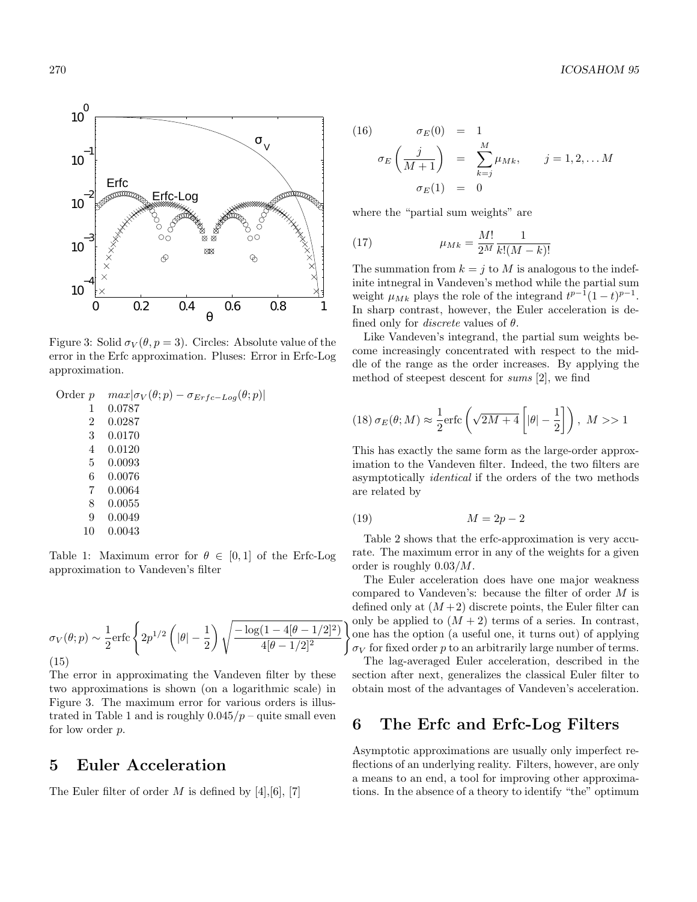

Figure 3: Solid  $\sigma_V(\theta, p = 3)$ . Circles: Absolute value of the error in the Erfc approximation. Pluses: Error in Erfc-Log approximation.

| Order $p$ | $max \sigma_V(\theta; p) - \sigma_{Erfc-Log}(\theta; p) $ |
|-----------|-----------------------------------------------------------|
| 1         | 0.0787                                                    |
| 2         | 0.0287                                                    |
| 3         | 0.0170                                                    |
| 4         | 0.0120                                                    |
| 5         | 0.0093                                                    |
| 6         | 0.0076                                                    |
| 7         | 0.0064                                                    |
| 8         | 0.0055                                                    |
| 9         | 0.0049                                                    |
| $\sim$    | .                                                         |

10 0.0043

Table 1: Maximum error for  $\theta \in [0,1]$  of the Erfc-Log approximation to Vandeven's filter

$$
\sigma_V(\theta; p) \sim \frac{1}{2} \text{erfc}\left\{2p^{1/2}\left(|\theta| - \frac{1}{2}\right) \sqrt{\frac{-\log(1 - 4[\theta - 1/2]^2)}{4[\theta - 1/2]^2}}\right\}
$$
\n(15)

The error in approximating the Vandeven filter by these two approximations is shown (on a logarithmic scale) in Figure 3. The maximum error for various orders is illustrated in Table 1 and is roughly  $0.045/p$  – quite small even for low order *p*.

#### **5 Euler Acceleration**

The Euler filter of order *M* is defined by [4],[6], [7]

(16) 
$$
\sigma_E(0) = 1
$$

$$
\sigma_E\left(\frac{j}{M+1}\right) = \sum_{k=j}^{M} \mu_{Mk}, \qquad j = 1, 2, \dots M
$$

$$
\sigma_E(1) = 0
$$

where the "partial sum weights" are

(17) 
$$
\mu_{Mk} = \frac{M!}{2^M} \frac{1}{k!(M-k)!}
$$

The summation from  $k = j$  to M is analogous to the indefinite intnegral in Vandeven's method while the partial sum weight  $\mu_{Mk}$  plays the role of the integrand  $t^{p-1}(1-t)^{p-1}$ . In sharp contrast, however, the Euler acceleration is defined only for discrete values of *θ*.

Like Vandeven's integrand, the partial sum weights become increasingly concentrated with respect to the middle of the range as the order increases. By applying the method of steepest descent for sums [2], we find

(18) 
$$
\sigma_E(\theta; M) \approx \frac{1}{2} \text{erfc}\left(\sqrt{2M+4}\left[|\theta|-\frac{1}{2}\right]\right), M >> 1
$$

This has exactly the same form as the large-order approximation to the Vandeven filter. Indeed, the two filters are asymptotically identical if the orders of the two methods are related by

$$
(19) \t\t\t M = 2p - 2
$$

Table 2 shows that the erfc-approximation is very accurate. The maximum error in any of the weights for a given order is roughly 0*.*03*/M*.

The Euler acceleration does have one major weakness compared to Vandeven's: because the filter of order *M* is defined only at  $(M+2)$  discrete points, the Euler filter can only be applied to  $(M + 2)$  terms of a series. In contrast, one has the option (a useful one, it turns out) of applying  $\sigma_V$  for fixed order *p* to an arbitrarily large number of terms.

The lag-averaged Euler acceleration, described in the section after next, generalizes the classical Euler filter to obtain most of the advantages of Vandeven's acceleration.

#### **6 The Erfc and Erfc-Log Filters**

Asymptotic approximations are usually only imperfect reflections of an underlying reality. Filters, however, are only a means to an end, a tool for improving other approximations. In the absence of a theory to identify "the" optimum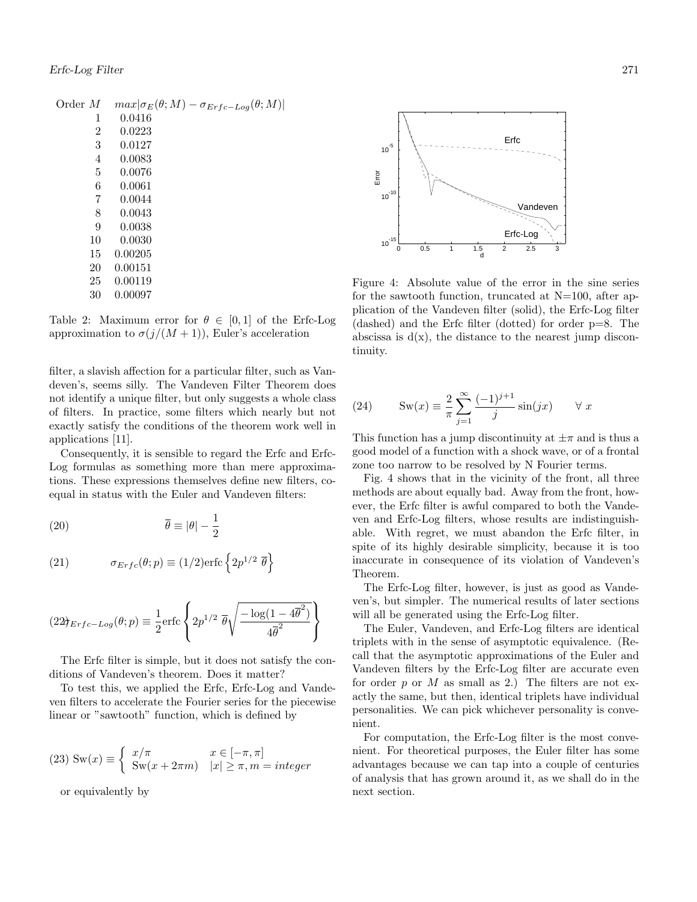| Order $M$ | $max \sigma_E(\theta;M)-\sigma_{Erfc-Log}(\theta;M) $ |
|-----------|-------------------------------------------------------|
| 1         | 0.0416                                                |
| 2         | 0.0223                                                |
| 3         | 0.0127                                                |
| 4         | 0.0083                                                |
| 5         | 0.0076                                                |
| 6         | 0.0061                                                |
| 7         | 0.0044                                                |
| 8         | 0.0043                                                |
| 9         | 0.0038                                                |
| 10        | 0.0030                                                |
| 15        | 0.00205                                               |
| 20        | 0.00151                                               |
| 25        | 0.00119                                               |
| 30        | 0.00097                                               |
|           |                                                       |

Table 2: Maximum error for  $\theta \in [0,1]$  of the Erfc-Log approximation to  $\sigma(j/(M+1))$ , Euler's acceleration

filter, a slavish affection for a particular filter, such as Vandeven's, seems silly. The Vandeven Filter Theorem does not identify a unique filter, but only suggests a whole class of filters. In practice, some filters which nearly but not exactly satisfy the conditions of the theorem work well in applications [11].

Consequently, it is sensible to regard the Erfc and Erfc-Log formulas as something more than mere approximations. These expressions themselves define new filters, coequal in status with the Euler and Vandeven filters:

(20) 
$$
\overline{\theta} \equiv |\theta| - \frac{1}{2}
$$

(21) 
$$
\sigma_{Erfc}(\theta; p) \equiv (1/2) \text{erfc} \left\{ 2p^{1/2} \overline{\theta} \right\}
$$

$$
(22\theta_{Erfc-Log}(\theta;p) \equiv \frac{1}{2} \text{erfc} \left\{ 2p^{1/2} \overline{\theta} \sqrt{\frac{-\log(1-4\overline{\theta}^2)}{4\overline{\theta}^2}} \right\}
$$

The Erfc filter is simple, but it does not satisfy the conditions of Vandeven's theorem. Does it matter?

To test this, we applied the Erfc, Erfc-Log and Vandeven filters to accelerate the Fourier series for the piecewise linear or "sawtooth" function, which is defined by

(23) 
$$
Sw(x) \equiv \begin{cases} x/\pi & x \in [-\pi, \pi] \\ Sw(x + 2\pi m) & |x| \ge \pi, m = integer \end{cases}
$$

or equivalently by



Figure 4: Absolute value of the error in the sine series for the sawtooth function, truncated at N=100, after application of the Vandeven filter (solid), the Erfc-Log filter (dashed) and the Erfc filter (dotted) for order p=8. The abscissa is  $d(x)$ , the distance to the nearest jump discontinuity.

(24) 
$$
\operatorname{Sw}(x) \equiv \frac{2}{\pi} \sum_{j=1}^{\infty} \frac{(-1)^{j+1}}{j} \sin(jx) \quad \forall x
$$

This function has a jump discontinuity at  $\pm \pi$  and is thus a good model of a function with a shock wave, or of a frontal zone too narrow to be resolved by N Fourier terms.

Fig. 4 shows that in the vicinity of the front, all three methods are about equally bad. Away from the front, however, the Erfc filter is awful compared to both the Vandeven and Erfc-Log filters, whose results are indistinguishable. With regret, we must abandon the Erfc filter, in spite of its highly desirable simplicity, because it is too inaccurate in consequence of its violation of Vandeven's Theorem.

The Erfc-Log filter, however, is just as good as Vandeven's, but simpler. The numerical results of later sections will all be generated using the Erfc-Log filter.

The Euler, Vandeven, and Erfc-Log filters are identical triplets with in the sense of asymptotic equivalence. (Recall that the asymptotic approximations of the Euler and Vandeven filters by the Erfc-Log filter are accurate even for order *p* or *M* as small as 2.) The filters are not exactly the same, but then, identical triplets have individual personalities. We can pick whichever personality is convenient.

For computation, the Erfc-Log filter is the most convenient. For theoretical purposes, the Euler filter has some advantages because we can tap into a couple of centuries of analysis that has grown around it, as we shall do in the next section.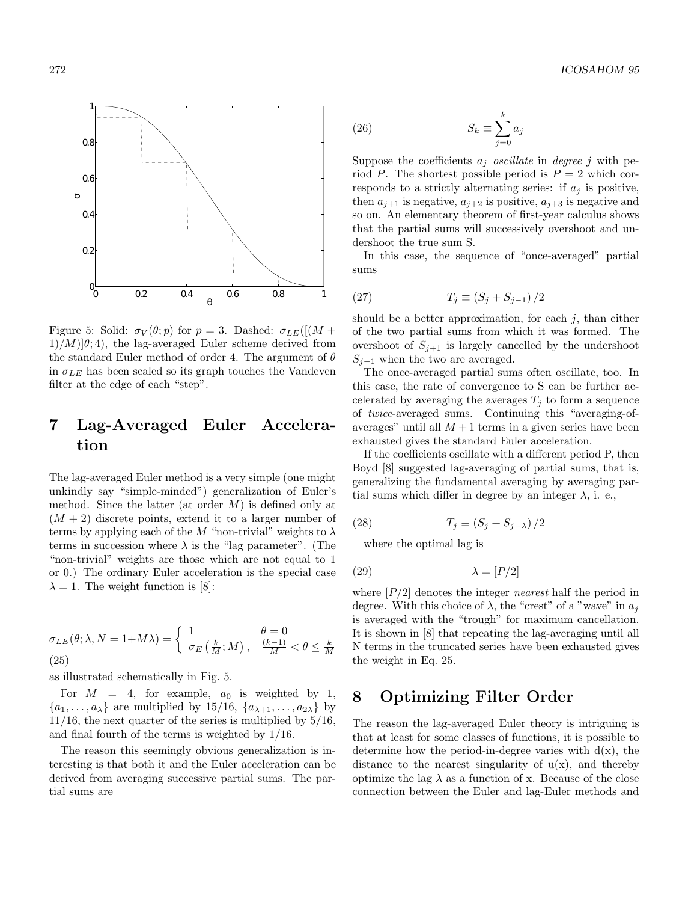0 0.2 0.4 0.6 0.8 1  $0$ <sup>0</sup> 0.2 0.4 0.6 0.8 1 σθ

Figure 5: Solid:  $\sigma_V(\theta; p)$  for  $p = 3$ . Dashed:  $\sigma_{LE}([M +$  $1/M[\theta; 4]$ , the lag-averaged Euler scheme derived from the standard Euler method of order 4. The argument of *θ* in  $\sigma_{LE}$  has been scaled so its graph touches the Vandeven filter at the edge of each "step".

# **7 Lag-Averaged Euler Acceleration**

The lag-averaged Euler method is a very simple (one might unkindly say "simple-minded") generalization of Euler's method. Since the latter (at order *M*) is defined only at  $(M + 2)$  discrete points, extend it to a larger number of terms by applying each of the *M* "non-trivial" weights to  $\lambda$ terms in succession where  $\lambda$  is the "lag parameter". (The "non-trivial" weights are those which are not equal to 1 or 0.) The ordinary Euler acceleration is the special case  $\lambda = 1$ . The weight function is [8]:

$$
\sigma_{LE}(\theta; \lambda, N = 1 + M\lambda) = \begin{cases} 1 & \theta = 0 \\ \sigma_E\left(\frac{k}{M}; M\right), & \frac{(k-1)}{M} < \theta \le \frac{k}{M} \end{cases}
$$
\n(25)

as illustrated schematically in Fig. 5.

For  $M = 4$ , for example,  $a_0$  is weighted by 1,  $\{a_1, \ldots, a_\lambda\}$  are multiplied by 15/16,  $\{a_{\lambda+1}, \ldots, a_{2\lambda}\}\$  by  $11/16$ , the next quarter of the series is multiplied by  $5/16$ , and final fourth of the terms is weighted by 1/16.

The reason this seemingly obvious generalization is interesting is that both it and the Euler acceleration can be derived from averaging successive partial sums. The partial sums are

(26) 
$$
S_k \equiv \sum_{j=0}^k a_j
$$

Suppose the coefficients  $a_j$  *oscillate* in *degree j* with period *P*. The shortest possible period is  $P = 2$  which corresponds to a strictly alternating series: if  $a_j$  is positive, then  $a_{j+1}$  is negative,  $a_{j+2}$  is positive,  $a_{j+3}$  is negative and so on. An elementary theorem of first-year calculus shows that the partial sums will successively overshoot and undershoot the true sum S.

In this case, the sequence of "once-averaged" partial sums

(27) 
$$
T_j \equiv (S_j + S_{j-1})/2
$$

should be a better approximation, for each *j*, than either of the two partial sums from which it was formed. The overshoot of  $S_{j+1}$  is largely cancelled by the undershoot  $S_{i-1}$  when the two are averaged.

The once-averaged partial sums often oscillate, too. In this case, the rate of convergence to S can be further accelerated by averaging the averages  $T_j$  to form a sequence of twice-averaged sums. Continuing this "averaging-ofaverages" until all  $M + 1$  terms in a given series have been exhausted gives the standard Euler acceleration.

If the coefficients oscillate with a different period P, then Boyd [8] suggested lag-averaging of partial sums, that is, generalizing the fundamental averaging by averaging partial sums which differ in degree by an integer  $\lambda$ , i. e.,

(28) 
$$
T_j \equiv (S_j + S_{j-\lambda})/2
$$

where the optimal lag is

$$
\lambda = [P/2]
$$

where [*P/*2] denotes the integer nearest half the period in degree. With this choice of  $\lambda$ , the "crest" of a "wave" in  $a_j$ is averaged with the "trough" for maximum cancellation. It is shown in [8] that repeating the lag-averaging until all N terms in the truncated series have been exhausted gives the weight in Eq. 25.

### **8 Optimizing Filter Order**

The reason the lag-averaged Euler theory is intriguing is that at least for some classes of functions, it is possible to determine how the period-in-degree varies with  $d(x)$ , the distance to the nearest singularity of  $u(x)$ , and thereby optimize the lag  $\lambda$  as a function of x. Because of the close connection between the Euler and lag-Euler methods and

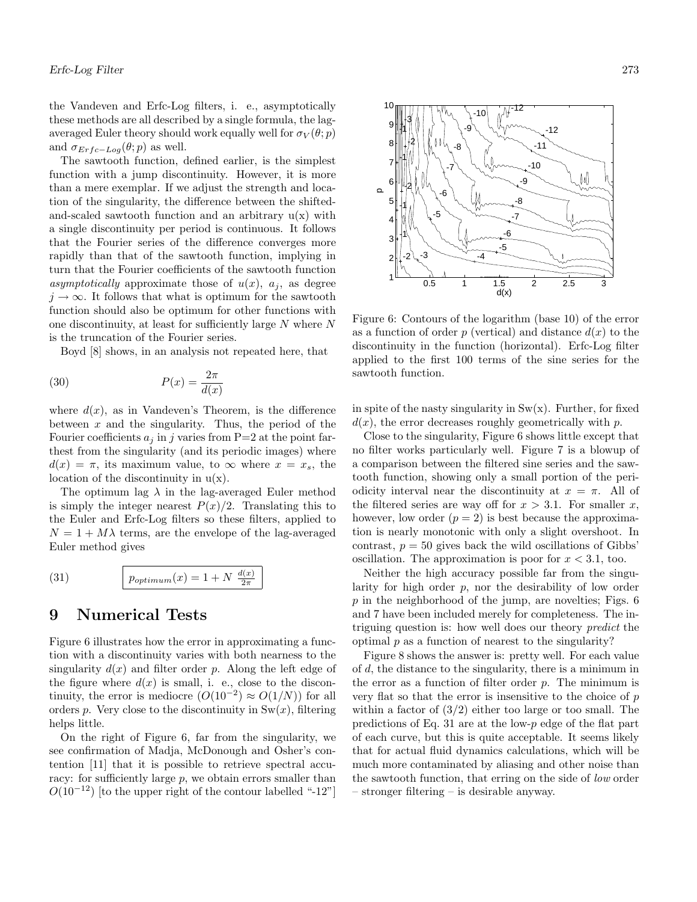the Vandeven and Erfc-Log filters, i. e., asymptotically these methods are all described by a single formula, the lagaveraged Euler theory should work equally well for  $\sigma_V(\theta; p)$ and  $\sigma_{Erfc-Log}(\theta;p)$  as well.

The sawtooth function, defined earlier, is the simplest function with a jump discontinuity. However, it is more than a mere exemplar. If we adjust the strength and location of the singularity, the difference between the shiftedand-scaled sawtooth function and an arbitrary  $u(x)$  with a single discontinuity per period is continuous. It follows that the Fourier series of the difference converges more rapidly than that of the sawtooth function, implying in turn that the Fourier coefficients of the sawtooth function asymptotically approximate those of  $u(x)$ ,  $a_j$ , as degree  $j \to \infty$ . It follows that what is optimum for the sawtooth function should also be optimum for other functions with one discontinuity, at least for sufficiently large *N* where *N* is the truncation of the Fourier series.

Boyd [8] shows, in an analysis not repeated here, that

$$
(30) \t\t P(x) = \frac{2\pi}{d(x)}
$$

where  $d(x)$ , as in Vandeven's Theorem, is the difference between *x* and the singularity. Thus, the period of the Fourier coefficients  $a_j$  in *j* varies from P=2 at the point farthest from the singularity (and its periodic images) where  $d(x) = \pi$ , its maximum value, to  $\infty$  where  $x = x_s$ , the location of the discontinuity in  $u(x)$ .

The optimum lag  $\lambda$  in the lag-averaged Euler method is simply the integer nearest  $P(x)/2$ . Translating this to the Euler and Erfc-Log filters so these filters, applied to  $N = 1 + M\lambda$  terms, are the envelope of the lag-averaged Euler method gives

(31) 
$$
p_{optimum}(x) = 1 + N \frac{d(x)}{2\pi}
$$

## **9 Numerical Tests**

Figure 6 illustrates how the error in approximating a function with a discontinuity varies with both nearness to the singularity  $d(x)$  and filter order p. Along the left edge of the figure where  $d(x)$  is small, i. e., close to the discontinuity, the error is mediocre  $(O(10^{-2}) \approx O(1/N))$  for all orders *p*. Very close to the discontinuity in  $\text{Sw}(x)$ , filtering helps little.

On the right of Figure 6, far from the singularity, we see confirmation of Madja, McDonough and Osher's contention [11] that it is possible to retrieve spectral accuracy: for sufficiently large *p*, we obtain errors smaller than  $O(10^{-12})$  [to the upper right of the contour labelled "-12"]



Figure 6: Contours of the logarithm (base 10) of the error as a function of order  $p$  (vertical) and distance  $d(x)$  to the discontinuity in the function (horizontal). Erfc-Log filter applied to the first 100 terms of the sine series for the sawtooth function.

in spite of the nasty singularity in  $Sw(x)$ . Further, for fixed *d*(*x*), the error decreases roughly geometrically with *p*.

Close to the singularity, Figure 6 shows little except that no filter works particularly well. Figure 7 is a blowup of a comparison between the filtered sine series and the sawtooth function, showing only a small portion of the periodicity interval near the discontinuity at  $x = \pi$ . All of the filtered series are way off for  $x > 3.1$ . For smaller x, however, low order  $(p = 2)$  is best because the approximation is nearly monotonic with only a slight overshoot. In contrast,  $p = 50$  gives back the wild oscillations of Gibbs' oscillation. The approximation is poor for  $x < 3.1$ , too.

Neither the high accuracy possible far from the singularity for high order *p*, nor the desirability of low order *p* in the neighborhood of the jump, are novelties; Figs. 6 and 7 have been included merely for completeness. The intriguing question is: how well does our theory predict the optimal *p* as a function of nearest to the singularity?

Figure 8 shows the answer is: pretty well. For each value of *d*, the distance to the singularity, there is a minimum in the error as a function of filter order *p*. The minimum is very flat so that the error is insensitive to the choice of *p* within a factor of  $(3/2)$  either too large or too small. The predictions of Eq. 31 are at the low-*p* edge of the flat part of each curve, but this is quite acceptable. It seems likely that for actual fluid dynamics calculations, which will be much more contaminated by aliasing and other noise than the sawtooth function, that erring on the side of low order – stronger filtering – is desirable anyway.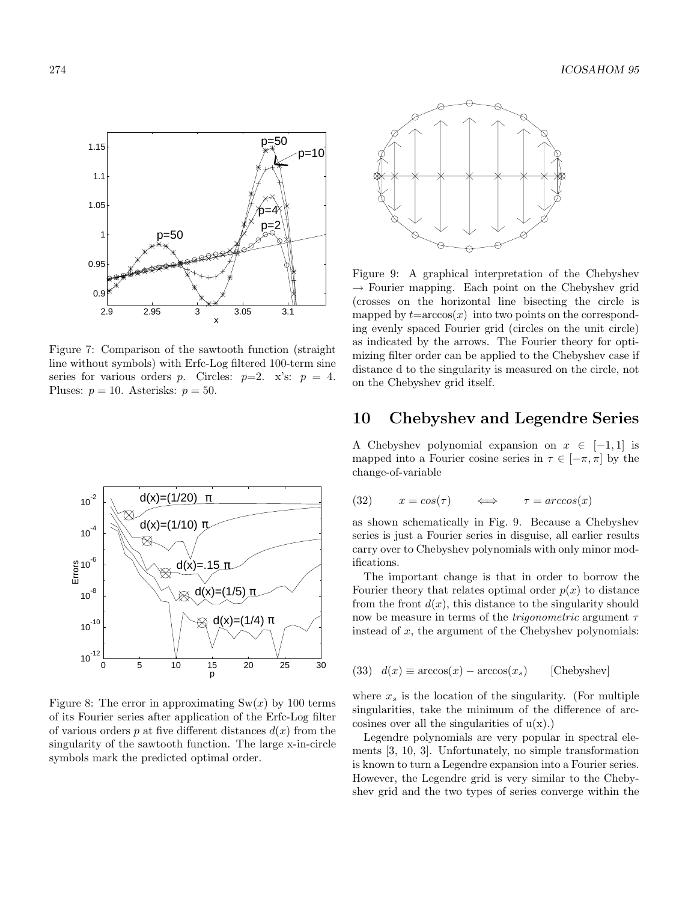

Figure 7: Comparison of the sawtooth function (straight line without symbols) with Erfc-Log filtered 100-term sine series for various orders *p*. Circles:  $p=2$ . x's:  $p = 4$ . Pluses:  $p = 10$ . Asterisks:  $p = 50$ .



Figure 8: The error in approximating  $\text{Sw}(x)$  by 100 terms of its Fourier series after application of the Erfc-Log filter of various orders  $p$  at five different distances  $d(x)$  from the singularity of the sawtooth function. The large x-in-circle symbols mark the predicted optimal order.



Figure 9: A graphical interpretation of the Chebyshev  $\rightarrow$  Fourier mapping. Each point on the Chebyshev grid (crosses on the horizontal line bisecting the circle is mapped by  $t = \arccos(x)$  into two points on the corresponding evenly spaced Fourier grid (circles on the unit circle) as indicated by the arrows. The Fourier theory for optimizing filter order can be applied to the Chebyshev case if distance d to the singularity is measured on the circle, not on the Chebyshev grid itself.

### **10 Chebyshev and Legendre Series**

A Chebyshev polynomial expansion on  $x \in [-1, 1]$  is mapped into a Fourier cosine series in  $\tau \in [-\pi, \pi]$  by the change-of-variable

$$
(32) \qquad x = \cos(\tau) \qquad \Longleftrightarrow \qquad \tau = \arccos(x)
$$

as shown schematically in Fig. 9. Because a Chebyshev series is just a Fourier series in disguise, all earlier results carry over to Chebyshev polynomials with only minor modifications.

The important change is that in order to borrow the Fourier theory that relates optimal order  $p(x)$  to distance from the front  $d(x)$ , this distance to the singularity should now be measure in terms of the trigonometric argument *τ* instead of *x*, the argument of the Chebyshev polynomials:

(33) 
$$
d(x) \equiv \arccos(x) - \arccos(x_s) \qquad [\text{Chebyshev}]
$$

where  $x_s$  is the location of the singularity. (For multiple singularities, take the minimum of the difference of arccosines over all the singularities of  $u(x)$ .)

Legendre polynomials are very popular in spectral elements [3, 10, 3]. Unfortunately, no simple transformation is known to turn a Legendre expansion into a Fourier series. However, the Legendre grid is very similar to the Chebyshev grid and the two types of series converge within the